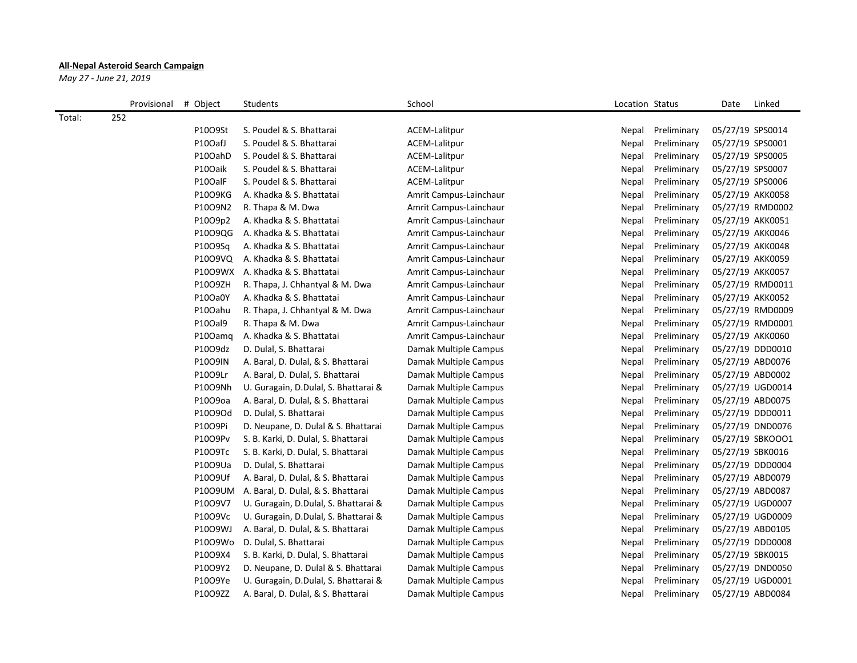## **All-Nepal Asteroid Search Campaign**

*May 27 - June 21, 2019*

|        | Provisional | # Object | Students                             | School                 | Location Status |             | Date<br>Linked   |
|--------|-------------|----------|--------------------------------------|------------------------|-----------------|-------------|------------------|
| Total: | 252         |          |                                      |                        |                 |             |                  |
|        |             | P1009St  | S. Poudel & S. Bhattarai             | ACEM-Lalitpur          | Nepal           | Preliminary | 05/27/19 SPS0014 |
|        |             | P10OafJ  | S. Poudel & S. Bhattarai             | ACEM-Lalitpur          | Nepal           | Preliminary | 05/27/19 SPS0001 |
|        |             | P10OahD  | S. Poudel & S. Bhattarai             | ACEM-Lalitpur          | Nepal           | Preliminary | 05/27/19 SPS0005 |
|        |             | P10Oaik  | S. Poudel & S. Bhattarai             | ACEM-Lalitpur          | Nepal           | Preliminary | 05/27/19 SPS0007 |
|        |             | P10OalF  | S. Poudel & S. Bhattarai             | ACEM-Lalitpur          | Nepal           | Preliminary | 05/27/19 SPS0006 |
|        |             | P1009KG  | A. Khadka & S. Bhattatai             | Amrit Campus-Lainchaur | Nepal           | Preliminary | 05/27/19 AKK0058 |
|        |             | P1009N2  | R. Thapa & M. Dwa                    | Amrit Campus-Lainchaur | Nepal           | Preliminary | 05/27/19 RMD0002 |
|        |             | P10O9p2  | A. Khadka & S. Bhattatai             | Amrit Campus-Lainchaur | Nepal           | Preliminary | 05/27/19 AKK0051 |
|        |             | P1009QG  | A. Khadka & S. Bhattatai             | Amrit Campus-Lainchaur | Nepal           | Preliminary | 05/27/19 AKK0046 |
|        |             | P10O9Sq  | A. Khadka & S. Bhattatai             | Amrit Campus-Lainchaur | Nepal           | Preliminary | 05/27/19 AKK0048 |
|        |             | P10O9VQ  | A. Khadka & S. Bhattatai             | Amrit Campus-Lainchaur | Nepal           | Preliminary | 05/27/19 AKK0059 |
|        |             | P1009WX  | A. Khadka & S. Bhattatai             | Amrit Campus-Lainchaur | Nepal           | Preliminary | 05/27/19 AKK0057 |
|        |             | P1009ZH  | R. Thapa, J. Chhantyal & M. Dwa      | Amrit Campus-Lainchaur | Nepal           | Preliminary | 05/27/19 RMD0011 |
|        |             | P10Oa0Y  | A. Khadka & S. Bhattatai             | Amrit Campus-Lainchaur | Nepal           | Preliminary | 05/27/19 AKK0052 |
|        |             | P10Oahu  | R. Thapa, J. Chhantyal & M. Dwa      | Amrit Campus-Lainchaur | Nepal           | Preliminary | 05/27/19 RMD0009 |
|        |             | P10Oal9  | R. Thapa & M. Dwa                    | Amrit Campus-Lainchaur | Nepal           | Preliminary | 05/27/19 RMD0001 |
|        |             | P100amg  | A. Khadka & S. Bhattatai             | Amrit Campus-Lainchaur | Nepal           | Preliminary | 05/27/19 AKK0060 |
|        |             | P10O9dz  | D. Dulal, S. Bhattarai               | Damak Multiple Campus  | Nepal           | Preliminary | 05/27/19 DDD0010 |
|        |             | P1009IN  | A. Baral, D. Dulal, & S. Bhattarai   | Damak Multiple Campus  | Nepal           | Preliminary | 05/27/19 ABD0076 |
|        |             | P1009Lr  | A. Baral, D. Dulal, S. Bhattarai     | Damak Multiple Campus  | Nepal           | Preliminary | 05/27/19 ABD0002 |
|        |             | P1009Nh  | U. Guragain, D.Dulal, S. Bhattarai & | Damak Multiple Campus  | Nepal           | Preliminary | 05/27/19 UGD0014 |
|        |             | P1009oa  | A. Baral, D. Dulal, & S. Bhattarai   | Damak Multiple Campus  | Nepal           | Preliminary | 05/27/19 ABD0075 |
|        |             | P10O9Od  | D. Dulal, S. Bhattarai               | Damak Multiple Campus  | Nepal           | Preliminary | 05/27/19 DDD0011 |
|        |             | P1009Pi  | D. Neupane, D. Dulal & S. Bhattarai  | Damak Multiple Campus  | Nepal           | Preliminary | 05/27/19 DND0076 |
|        |             | P1009Pv  | S. B. Karki, D. Dulal, S. Bhattarai  | Damak Multiple Campus  | Nepal           | Preliminary | 05/27/19 SBKOOO1 |
|        |             | P10O9Tc  | S. B. Karki, D. Dulal, S. Bhattarai  | Damak Multiple Campus  | Nepal           | Preliminary | 05/27/19 SBK0016 |
|        |             | P1009Ua  | D. Dulal, S. Bhattarai               | Damak Multiple Campus  | Nepal           | Preliminary | 05/27/19 DDD0004 |
|        |             | P1009Uf  | A. Baral, D. Dulal, & S. Bhattarai   | Damak Multiple Campus  | Nepal           | Preliminary | 05/27/19 ABD0079 |
|        |             | P1009UM  | A. Baral, D. Dulal, & S. Bhattarai   | Damak Multiple Campus  | Nepal           | Preliminary | 05/27/19 ABD0087 |
|        |             | P10O9V7  | U. Guragain, D.Dulal, S. Bhattarai & | Damak Multiple Campus  | Nepal           | Preliminary | 05/27/19 UGD0007 |
|        |             | P10O9Vc  | U. Guragain, D.Dulal, S. Bhattarai & | Damak Multiple Campus  | Nepal           | Preliminary | 05/27/19 UGD0009 |
|        |             | P1009WJ  | A. Baral, D. Dulal, & S. Bhattarai   | Damak Multiple Campus  | Nepal           | Preliminary | 05/27/19 ABD0105 |
|        |             | P1009Wo  | D. Dulal, S. Bhattarai               | Damak Multiple Campus  | Nepal           | Preliminary | 05/27/19 DDD0008 |
|        |             | P10O9X4  | S. B. Karki, D. Dulal, S. Bhattarai  | Damak Multiple Campus  | Nepal           | Preliminary | 05/27/19 SBK0015 |
|        |             | P10O9Y2  | D. Neupane, D. Dulal & S. Bhattarai  | Damak Multiple Campus  | Nepal           | Preliminary | 05/27/19 DND0050 |
|        |             | P10O9Ye  | U. Guragain, D.Dulal, S. Bhattarai & | Damak Multiple Campus  | Nepal           | Preliminary | 05/27/19 UGD0001 |
|        |             | P10O9ZZ  | A. Baral, D. Dulal, & S. Bhattarai   | Damak Multiple Campus  | Nepal           | Preliminary | 05/27/19 ABD0084 |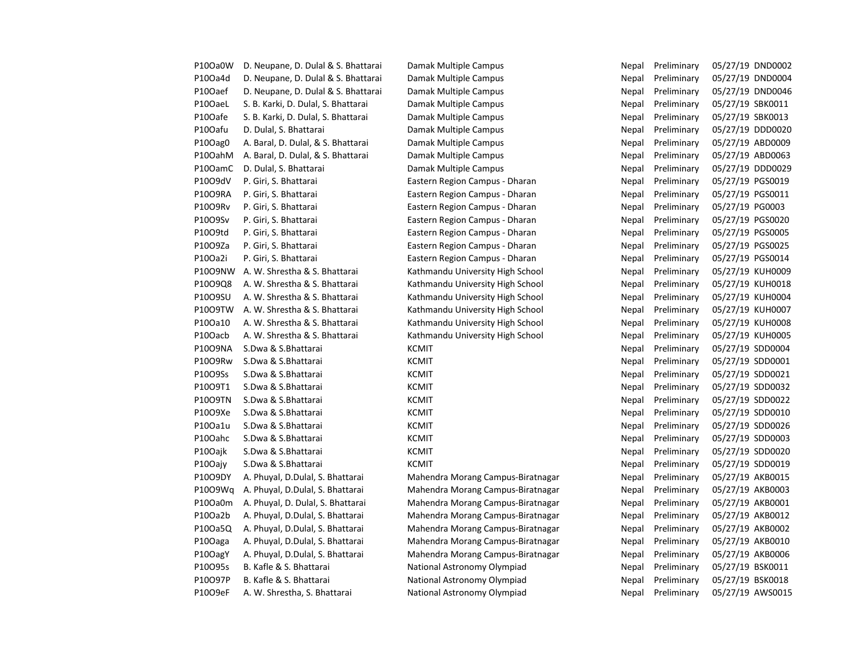| P10Oa0W              | D. Neupane, D. Dulal & S. Bhattarai | Damak Multiple Campus             | Nepal | Preliminary | 05/27/19 DND0002 |
|----------------------|-------------------------------------|-----------------------------------|-------|-------------|------------------|
| P10Oa4d              | D. Neupane, D. Dulal & S. Bhattarai | Damak Multiple Campus             | Nepal | Preliminary | 05/27/19 DND0004 |
| P10Oaef              | D. Neupane, D. Dulal & S. Bhattarai | Damak Multiple Campus             | Nepal | Preliminary | 05/27/19 DND0046 |
| P10OaeL              | S. B. Karki, D. Dulal, S. Bhattarai | Damak Multiple Campus             | Nepal | Preliminary | 05/27/19 SBK0011 |
| P10Oafe              | S. B. Karki, D. Dulal, S. Bhattarai | Damak Multiple Campus             | Nepal | Preliminary | 05/27/19 SBK0013 |
| P10Oafu              | D. Dulal, S. Bhattarai              | Damak Multiple Campus             | Nepal | Preliminary | 05/27/19 DDD0020 |
| P10Oag0              | A. Baral, D. Dulal, & S. Bhattarai  | Damak Multiple Campus             | Nepal | Preliminary | 05/27/19 ABD0009 |
| P10OahM              | A. Baral, D. Dulal, & S. Bhattarai  | Damak Multiple Campus             | Nepal | Preliminary | 05/27/19 ABD0063 |
| P100amC              | D. Dulal, S. Bhattarai              | Damak Multiple Campus             | Nepal | Preliminary | 05/27/19 DDD0029 |
| P10O9dV              | P. Giri, S. Bhattarai               | Eastern Region Campus - Dharan    | Nepal | Preliminary | 05/27/19 PGS0019 |
| P10O9RA              | P. Giri, S. Bhattarai               | Eastern Region Campus - Dharan    | Nepal | Preliminary | 05/27/19 PGS0011 |
| P1009Rv              | P. Giri, S. Bhattarai               | Eastern Region Campus - Dharan    | Nepal | Preliminary | 05/27/19 PG0003  |
| P10O9Sv              | P. Giri, S. Bhattarai               | Eastern Region Campus - Dharan    | Nepal | Preliminary | 05/27/19 PGS0020 |
| P10O9td              | P. Giri, S. Bhattarai               | Eastern Region Campus - Dharan    | Nepal | Preliminary | 05/27/19 PGS0005 |
| P10O9Za              | P. Giri, S. Bhattarai               | Eastern Region Campus - Dharan    | Nepal | Preliminary | 05/27/19 PGS0025 |
| P10Oa2i              | P. Giri, S. Bhattarai               | Eastern Region Campus - Dharan    | Nepal | Preliminary | 05/27/19 PGS0014 |
| P1009NW              | A. W. Shrestha & S. Bhattarai       | Kathmandu University High School  | Nepal | Preliminary | 05/27/19 KUH0009 |
| P10O9Q8              | A. W. Shrestha & S. Bhattarai       | Kathmandu University High School  | Nepal | Preliminary | 05/27/19 KUH0018 |
| P1009SU              | A. W. Shrestha & S. Bhattarai       | Kathmandu University High School  | Nepal | Preliminary | 05/27/19 KUH0004 |
| P1009TW              | A. W. Shrestha & S. Bhattarai       | Kathmandu University High School  | Nepal | Preliminary | 05/27/19 KUH0007 |
| P10Oa10              | A. W. Shrestha & S. Bhattarai       | Kathmandu University High School  | Nepal | Preliminary | 05/27/19 KUH0008 |
| P10Oacb              | A. W. Shrestha & S. Bhattarai       | Kathmandu University High School  | Nepal | Preliminary | 05/27/19 KUH0005 |
| P1009NA              | S.Dwa & S.Bhattarai                 | <b>KCMIT</b>                      | Nepal | Preliminary | 05/27/19 SDD0004 |
| P1009Rw              | S.Dwa & S.Bhattarai                 | <b>KCMIT</b>                      | Nepal | Preliminary | 05/27/19 SDD0001 |
| P10O9Ss              | S.Dwa & S.Bhattarai                 | <b>KCMIT</b>                      | Nepal | Preliminary | 05/27/19 SDD0021 |
| P10O9T1              | S.Dwa & S.Bhattarai                 | <b>KCMIT</b>                      | Nepal | Preliminary | 05/27/19 SDD0032 |
| <b>P10O9TN</b>       | S.Dwa & S.Bhattarai                 | <b>KCMIT</b>                      | Nepal | Preliminary | 05/27/19 SDD0022 |
| P10O9Xe              | S.Dwa & S.Bhattarai                 | <b>KCMIT</b>                      | Nepal | Preliminary | 05/27/19 SDD0010 |
| P10Oa1u              | S.Dwa & S.Bhattarai                 | <b>KCMIT</b>                      | Nepal | Preliminary | 05/27/19 SDD0026 |
| P10Oahc              | S.Dwa & S.Bhattarai                 | <b>KCMIT</b>                      | Nepal | Preliminary | 05/27/19 SDD0003 |
| P10Oajk              | S.Dwa & S.Bhattarai                 | <b>KCMIT</b>                      | Nepal | Preliminary | 05/27/19 SDD0020 |
| P10Oajy              | S.Dwa & S.Bhattarai                 | <b>KCMIT</b>                      | Nepal | Preliminary | 05/27/19 SDD0019 |
| P10O9DY              | A. Phuyal, D.Dulal, S. Bhattarai    | Mahendra Morang Campus-Biratnagar | Nepal | Preliminary | 05/27/19 AKB0015 |
| P1009Wq              | A. Phuyal, D.Dulal, S. Bhattarai    | Mahendra Morang Campus-Biratnagar | Nepal | Preliminary | 05/27/19 AKB0003 |
| P10Oa0m              | A. Phuyal, D. Dulal, S. Bhattarai   | Mahendra Morang Campus-Biratnagar | Nepal | Preliminary | 05/27/19 AKB0001 |
| P10Oa2b              | A. Phuyal, D.Dulal, S. Bhattarai    | Mahendra Morang Campus-Biratnagar | Nepal | Preliminary | 05/27/19 AKB0012 |
| P10Oa5Q              | A. Phuyal, D.Dulal, S. Bhattarai    | Mahendra Morang Campus-Biratnagar | Nepal | Preliminary | 05/27/19 AKB0002 |
| P <sub>10</sub> Oaga | A. Phuyal, D.Dulal, S. Bhattarai    | Mahendra Morang Campus-Biratnagar | Nepal | Preliminary | 05/27/19 AKB0010 |
| P10OagY              | A. Phuyal, D.Dulal, S. Bhattarai    | Mahendra Morang Campus-Biratnagar | Nepal | Preliminary | 05/27/19 AKB0006 |
| P10O95s              | B. Kafle & S. Bhattarai             | National Astronomy Olympiad       | Nepal | Preliminary | 05/27/19 BSK0011 |
| P10O97P              | B. Kafle & S. Bhattarai             | National Astronomy Olympiad       | Nepal | Preliminary | 05/27/19 BSK0018 |
| P10O9eF              | A. W. Shrestha, S. Bhattarai        | National Astronomy Olympiad       | Nepal | Preliminary | 05/27/19 AWS0015 |
|                      |                                     |                                   |       |             |                  |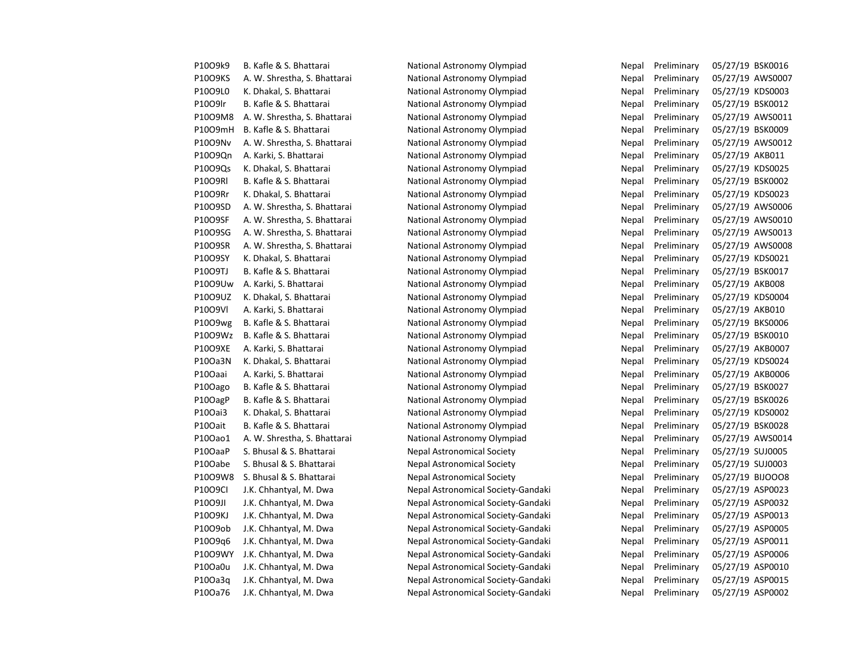| P10O9k9 | B. Kafle & S. Bhattarai      | National Astronomy Olympiad        | Nepal | Preliminary | 05/27/19 BSK0016 |                  |
|---------|------------------------------|------------------------------------|-------|-------------|------------------|------------------|
| P1009KS | A. W. Shrestha, S. Bhattarai | National Astronomy Olympiad        | Nepal | Preliminary | 05/27/19 AWS0007 |                  |
| P10O9L0 | K. Dhakal, S. Bhattarai      | National Astronomy Olympiad        | Nepal | Preliminary | 05/27/19 KDS0003 |                  |
| P1009lr | B. Kafle & S. Bhattarai      | National Astronomy Olympiad        | Nepal | Preliminary | 05/27/19 BSK0012 |                  |
| P1009M8 | A. W. Shrestha, S. Bhattarai | National Astronomy Olympiad        | Nepal | Preliminary | 05/27/19 AWS0011 |                  |
| P1009mH | B. Kafle & S. Bhattarai      | National Astronomy Olympiad        | Nepal | Preliminary | 05/27/19 BSK0009 |                  |
| P1009Nv | A. W. Shrestha, S. Bhattarai | National Astronomy Olympiad        | Nepal | Preliminary | 05/27/19 AWS0012 |                  |
| P1009Qn | A. Karki, S. Bhattarai       | National Astronomy Olympiad        | Nepal | Preliminary | 05/27/19 AKB011  |                  |
| P10O9Qs | K. Dhakal, S. Bhattarai      | National Astronomy Olympiad        | Nepal | Preliminary | 05/27/19 KDS0025 |                  |
| P1009RI | B. Kafle & S. Bhattarai      | National Astronomy Olympiad        | Nepal | Preliminary | 05/27/19 BSK0002 |                  |
| P1009Rr | K. Dhakal, S. Bhattarai      | National Astronomy Olympiad        | Nepal | Preliminary | 05/27/19 KDS0023 |                  |
| P10O9SD | A. W. Shrestha, S. Bhattarai | National Astronomy Olympiad        | Nepal | Preliminary | 05/27/19 AWS0006 |                  |
| P1009SF | A. W. Shrestha, S. Bhattarai | National Astronomy Olympiad        | Nepal | Preliminary |                  | 05/27/19 AWS0010 |
| P10O9SG | A. W. Shrestha, S. Bhattarai | National Astronomy Olympiad        | Nepal | Preliminary | 05/27/19 AWS0013 |                  |
| P10O9SR | A. W. Shrestha, S. Bhattarai | National Astronomy Olympiad        | Nepal | Preliminary | 05/27/19 AWS0008 |                  |
| P10O9SY | K. Dhakal, S. Bhattarai      | National Astronomy Olympiad        | Nepal | Preliminary | 05/27/19 KDS0021 |                  |
| P1009TJ | B. Kafle & S. Bhattarai      | National Astronomy Olympiad        | Nepal | Preliminary | 05/27/19 BSK0017 |                  |
| P1009Uw | A. Karki, S. Bhattarai       | National Astronomy Olympiad        | Nepal | Preliminary | 05/27/19 AKB008  |                  |
| P1009UZ | K. Dhakal, S. Bhattarai      | National Astronomy Olympiad        | Nepal | Preliminary | 05/27/19 KDS0004 |                  |
| P1009VI | A. Karki, S. Bhattarai       | National Astronomy Olympiad        | Nepal | Preliminary | 05/27/19 AKB010  |                  |
| P1009wg | B. Kafle & S. Bhattarai      | National Astronomy Olympiad        | Nepal | Preliminary | 05/27/19 BKS0006 |                  |
| P1009Wz | B. Kafle & S. Bhattarai      | National Astronomy Olympiad        | Nepal | Preliminary | 05/27/19 BSK0010 |                  |
| P10O9XE | A. Karki, S. Bhattarai       | National Astronomy Olympiad        | Nepal | Preliminary | 05/27/19 AKB0007 |                  |
| P10Oa3N | K. Dhakal, S. Bhattarai      | National Astronomy Olympiad        | Nepal | Preliminary | 05/27/19 KDS0024 |                  |
| P10Oaai | A. Karki, S. Bhattarai       | National Astronomy Olympiad        | Nepal | Preliminary | 05/27/19 AKB0006 |                  |
| P10Oago | B. Kafle & S. Bhattarai      | National Astronomy Olympiad        | Nepal | Preliminary | 05/27/19 BSK0027 |                  |
| P10OagP | B. Kafle & S. Bhattarai      | National Astronomy Olympiad        | Nepal | Preliminary | 05/27/19 BSK0026 |                  |
| P10Oai3 | K. Dhakal, S. Bhattarai      | National Astronomy Olympiad        | Nepal | Preliminary | 05/27/19 KDS0002 |                  |
| P10Oait | B. Kafle & S. Bhattarai      | National Astronomy Olympiad        | Nepal | Preliminary | 05/27/19 BSK0028 |                  |
| P10Oao1 | A. W. Shrestha, S. Bhattarai | National Astronomy Olympiad        | Nepal | Preliminary | 05/27/19 AWS0014 |                  |
| P10OaaP | S. Bhusal & S. Bhattarai     | <b>Nepal Astronomical Society</b>  | Nepal | Preliminary | 05/27/19 SUJ0005 |                  |
| P10Oabe | S. Bhusal & S. Bhattarai     | <b>Nepal Astronomical Society</b>  | Nepal | Preliminary | 05/27/19 SUJ0003 |                  |
| P1009W8 | S. Bhusal & S. Bhattarai     | <b>Nepal Astronomical Society</b>  | Nepal | Preliminary | 05/27/19 BIJOOO8 |                  |
| P1009CI | J.K. Chhantyal, M. Dwa       | Nepal Astronomical Society-Gandaki | Nepal | Preliminary | 05/27/19 ASP0023 |                  |
| P1009JI | J.K. Chhantyal, M. Dwa       | Nepal Astronomical Society-Gandaki | Nepal | Preliminary | 05/27/19 ASP0032 |                  |
| P1009KJ | J.K. Chhantyal, M. Dwa       | Nepal Astronomical Society-Gandaki | Nepal | Preliminary | 05/27/19 ASP0013 |                  |
| P1009ob | J.K. Chhantyal, M. Dwa       | Nepal Astronomical Society-Gandaki | Nepal | Preliminary | 05/27/19 ASP0005 |                  |
| P10O9q6 | J.K. Chhantyal, M. Dwa       | Nepal Astronomical Society-Gandaki | Nepal | Preliminary | 05/27/19 ASP0011 |                  |
| P1009WY | J.K. Chhantyal, M. Dwa       | Nepal Astronomical Society-Gandaki | Nepal | Preliminary | 05/27/19 ASP0006 |                  |
| P10Oa0u | J.K. Chhantyal, M. Dwa       | Nepal Astronomical Society-Gandaki | Nepal | Preliminary | 05/27/19 ASP0010 |                  |
| P10Oa3g | J.K. Chhantyal, M. Dwa       | Nepal Astronomical Society-Gandaki | Nepal | Preliminary | 05/27/19 ASP0015 |                  |
| P10Oa76 | J.K. Chhantyal, M. Dwa       | Nepal Astronomical Society-Gandaki | Nepal | Preliminary | 05/27/19 ASP0002 |                  |

| Nepal | Preliminary | 05/27/19 | BSK0016        |
|-------|-------------|----------|----------------|
| Nepal | Preliminary | 05/27/19 | AWS000         |
| Nepal | Preliminary | 05/27/19 | KDS0003        |
| Nepal | Preliminary | 05/27/19 | <b>BSK0012</b> |
| Nepal | Preliminary | 05/27/19 | AWS001         |
| Nepal | Preliminary | 05/27/19 | <b>BSK0009</b> |
| Nepal | Preliminary | 05/27/19 | AWS001         |
| Nepal | Preliminary | 05/27/19 | AKB011         |
| Nepal | Preliminary | 05/27/19 | KDS0025        |
| Nepal | Preliminary | 05/27/19 | <b>BSK0002</b> |
| Nepal | Preliminary | 05/27/19 | KDS0023        |
| Nepal | Preliminary | 05/27/19 | AWS000         |
| Nepal | Preliminary | 05/27/19 | AWS001         |
| Nepal | Preliminary | 05/27/19 | AWS001         |
| Nepal | Preliminary | 05/27/19 | AWS000         |
| Nepal | Preliminary | 05/27/19 | KDS0021        |
| Nepal | Preliminary | 05/27/19 | <b>BSK0017</b> |
| Nepal | Preliminary | 05/27/19 | <b>AKB008</b>  |
| Nepal | Preliminary | 05/27/19 | KDS0004        |
| Nepal | Preliminary | 05/27/19 | AKB010         |
| Nepal | Preliminary | 05/27/19 | <b>BKS0006</b> |
| Nepal | Preliminary | 05/27/19 | <b>BSK0010</b> |
| Nepal | Preliminary | 05/27/19 | AKB0007        |
| Nepal | Preliminary | 05/27/19 | KDS0024        |
| Nepal | Preliminary | 05/27/19 | AKB0006        |
| Nepal | Preliminary | 05/27/19 | <b>BSK0027</b> |
| Nepal | Preliminary | 05/27/19 | <b>BSK0026</b> |
| Nepal | Preliminary | 05/27/19 | KDS0002        |
| Nepal | Preliminary | 05/27/19 | <b>BSK0028</b> |
| Nepal | Preliminary | 05/27/19 | AWS001         |
| Nepal | Preliminary | 05/27/19 | SUJ0005        |
| Nepal | Preliminary | 05/27/19 | SUJ0003        |
| Nepal | Preliminary | 05/27/19 | BIJOOO8        |
| Nepal | Preliminary | 05/27/19 | ASP0023        |
| Nepal | Preliminary | 05/27/19 | ASP0032        |
| Nepal | Preliminary | 05/27/19 | ASP0013        |
| Nepal | Preliminary | 05/27/19 | ASP0005        |
| Nepal | Preliminary | 05/27/19 | ASP0011        |
| Nepal | Preliminary | 05/27/19 | ASP0006        |
| Nepal | Preliminary | 05/27/19 | ASP0010        |
| Nepal | Preliminary | 05/27/19 | ASP0015        |
| Nepal | Preliminarv | 05/27/19 | ASP0002        |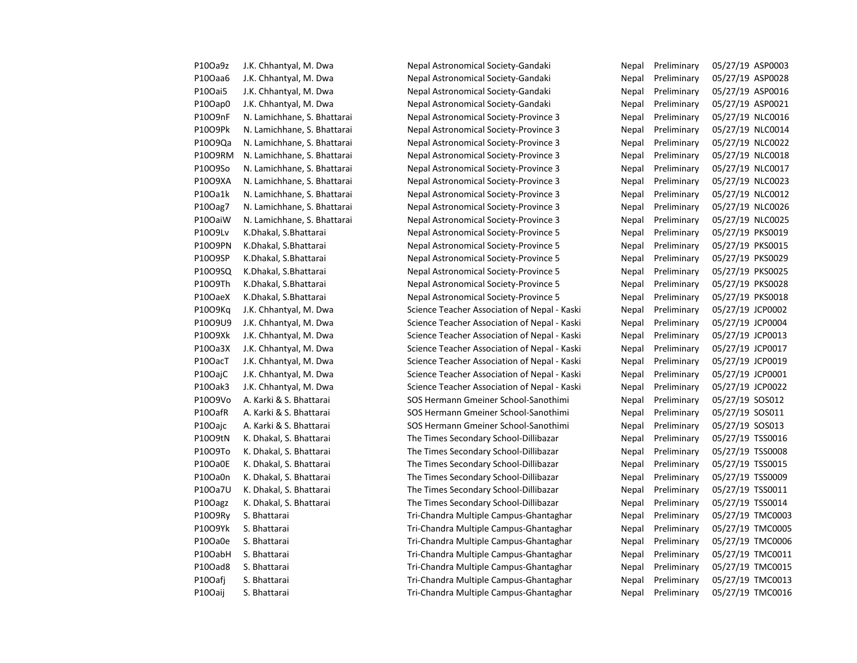| P10Oa9z | J.K. Chhantyal, M. Dwa      | Nepal Astronomical Society-Gandaki           | Nepal | Preliminary | 05/27/19 ASP0003 |
|---------|-----------------------------|----------------------------------------------|-------|-------------|------------------|
| P10Oaa6 | J.K. Chhantyal, M. Dwa      | Nepal Astronomical Society-Gandaki           | Nepal | Preliminary | 05/27/19 ASP0028 |
| P10Oai5 | J.K. Chhantyal, M. Dwa      | Nepal Astronomical Society-Gandaki           | Nepal | Preliminary | 05/27/19 ASP0016 |
| P10Oap0 | J.K. Chhantyal, M. Dwa      | Nepal Astronomical Society-Gandaki           | Nepal | Preliminary | 05/27/19 ASP0021 |
| P1009nF | N. Lamichhane, S. Bhattarai | Nepal Astronomical Society-Province 3        | Nepal | Preliminary | 05/27/19 NLC0016 |
| P10O9Pk | N. Lamichhane, S. Bhattarai | Nepal Astronomical Society-Province 3        | Nepal | Preliminary | 05/27/19 NLC0014 |
| P1009Qa | N. Lamichhane, S. Bhattarai | Nepal Astronomical Society-Province 3        | Nepal | Preliminary | 05/27/19 NLC0022 |
| P1009RM | N. Lamichhane, S. Bhattarai | Nepal Astronomical Society-Province 3        | Nepal | Preliminary | 05/27/19 NLC0018 |
| P10O9So | N. Lamichhane, S. Bhattarai | Nepal Astronomical Society-Province 3        | Nepal | Preliminary | 05/27/19 NLC0017 |
| P10O9XA | N. Lamichhane, S. Bhattarai | Nepal Astronomical Society-Province 3        | Nepal | Preliminary | 05/27/19 NLC0023 |
| P10Oa1k | N. Lamichhane, S. Bhattarai | Nepal Astronomical Society-Province 3        | Nepal | Preliminary | 05/27/19 NLC0012 |
| P10Oag7 | N. Lamichhane, S. Bhattarai | Nepal Astronomical Society-Province 3        | Nepal | Preliminary | 05/27/19 NLC0026 |
| P10OaiW | N. Lamichhane, S. Bhattarai | Nepal Astronomical Society-Province 3        | Nepal | Preliminary | 05/27/19 NLC0025 |
| P1009Lv | K.Dhakal, S.Bhattarai       | Nepal Astronomical Society-Province 5        | Nepal | Preliminary | 05/27/19 PKS0019 |
| P10O9PN | K.Dhakal, S.Bhattarai       | Nepal Astronomical Society-Province 5        | Nepal | Preliminary | 05/27/19 PKS0015 |
| P10O9SP | K.Dhakal, S.Bhattarai       | Nepal Astronomical Society-Province 5        | Nepal | Preliminary | 05/27/19 PKS0029 |
| P10O9SQ | K.Dhakal, S.Bhattarai       | Nepal Astronomical Society-Province 5        | Nepal | Preliminary | 05/27/19 PKS0025 |
| P1009Th | K.Dhakal, S.Bhattarai       | Nepal Astronomical Society-Province 5        | Nepal | Preliminary | 05/27/19 PKS0028 |
| P10OaeX | K.Dhakal, S.Bhattarai       | Nepal Astronomical Society-Province 5        | Nepal | Preliminary | 05/27/19 PKS0018 |
| P10O9Kg | J.K. Chhantyal, M. Dwa      | Science Teacher Association of Nepal - Kaski | Nepal | Preliminary | 05/27/19 JCP0002 |
| P10O9U9 | J.K. Chhantyal, M. Dwa      | Science Teacher Association of Nepal - Kaski | Nepal | Preliminary | 05/27/19 JCP0004 |
| P1009Xk | J.K. Chhantyal, M. Dwa      | Science Teacher Association of Nepal - Kaski | Nepal | Preliminary | 05/27/19 JCP0013 |
| P10Oa3X | J.K. Chhantyal, M. Dwa      | Science Teacher Association of Nepal - Kaski | Nepal | Preliminary | 05/27/19 JCP0017 |
| P10OacT | J.K. Chhantyal, M. Dwa      | Science Teacher Association of Nepal - Kaski | Nepal | Preliminary | 05/27/19 JCP0019 |
| P10OajC | J.K. Chhantyal, M. Dwa      | Science Teacher Association of Nepal - Kaski | Nepal | Preliminary | 05/27/19 JCP0001 |
| P10Oak3 | J.K. Chhantyal, M. Dwa      | Science Teacher Association of Nepal - Kaski | Nepal | Preliminary | 05/27/19 JCP0022 |
| P10O9Vo | A. Karki & S. Bhattarai     | SOS Hermann Gmeiner School-Sanothimi         | Nepal | Preliminary | 05/27/19 SOS012  |
| P10OafR | A. Karki & S. Bhattarai     | SOS Hermann Gmeiner School-Sanothimi         | Nepal | Preliminary | 05/27/19 SOS011  |
| P10Oajc | A. Karki & S. Bhattarai     | SOS Hermann Gmeiner School-Sanothimi         | Nepal | Preliminary | 05/27/19 SOS013  |
| P1009tN | K. Dhakal, S. Bhattarai     | The Times Secondary School-Dillibazar        | Nepal | Preliminary | 05/27/19 TSS0016 |
| P10O9To | K. Dhakal, S. Bhattarai     | The Times Secondary School-Dillibazar        | Nepal | Preliminary | 05/27/19 TSS0008 |
| P10Oa0E | K. Dhakal, S. Bhattarai     | The Times Secondary School-Dillibazar        | Nepal | Preliminary | 05/27/19 TSS0015 |
| P10Oa0n | K. Dhakal, S. Bhattarai     | The Times Secondary School-Dillibazar        | Nepal | Preliminary | 05/27/19 TSS0009 |
| P10Oa7U | K. Dhakal, S. Bhattarai     | The Times Secondary School-Dillibazar        | Nepal | Preliminary | 05/27/19 TSS0011 |
| P10Oagz | K. Dhakal, S. Bhattarai     | The Times Secondary School-Dillibazar        | Nepal | Preliminary | 05/27/19 TSS0014 |
| P1009Ry | S. Bhattarai                | Tri-Chandra Multiple Campus-Ghantaghar       | Nepal | Preliminary | 05/27/19 TMC0003 |
| P10O9Yk | S. Bhattarai                | Tri-Chandra Multiple Campus-Ghantaghar       | Nepal | Preliminary | 05/27/19 TMC0005 |
| P10Oa0e | S. Bhattarai                | Tri-Chandra Multiple Campus-Ghantaghar       | Nepal | Preliminary | 05/27/19 TMC0006 |
| P10OabH | S. Bhattarai                | Tri-Chandra Multiple Campus-Ghantaghar       | Nepal | Preliminary | 05/27/19 TMC0011 |
| P10Oad8 | S. Bhattarai                | Tri-Chandra Multiple Campus-Ghantaghar       | Nepal | Preliminary | 05/27/19 TMC0015 |
| P10Oafj | S. Bhattarai                | Tri-Chandra Multiple Campus-Ghantaghar       | Nepal | Preliminary | 05/27/19 TMC0013 |
| P10Oaij | S. Bhattarai                | Tri-Chandra Multiple Campus-Ghantaghar       | Nepal | Preliminary | 05/27/19 TMC0016 |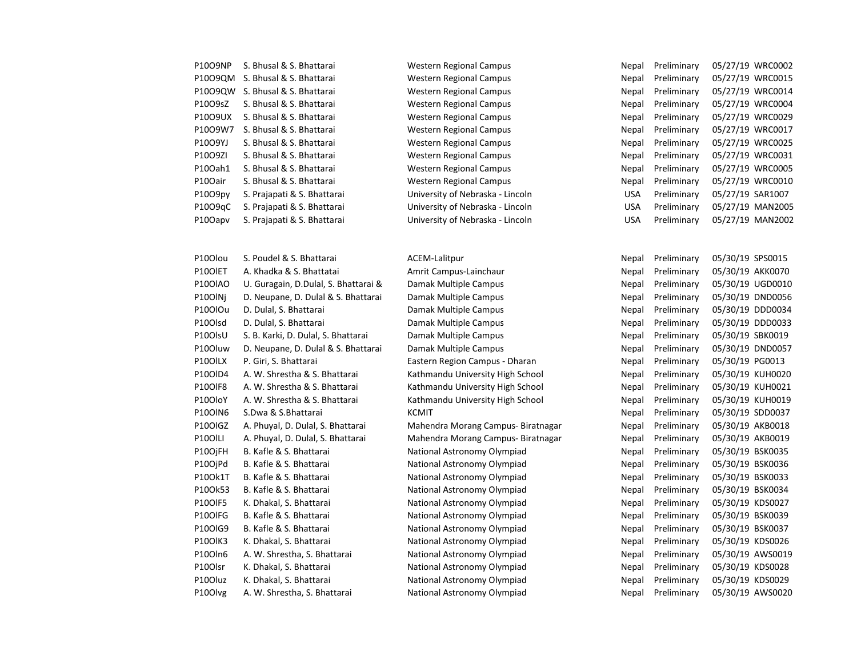| P10O9NP | S. Bhusal & S. Bhattarai    |
|---------|-----------------------------|
| P10O9QM | S. Bhusal & S. Bhattarai    |
| P10O9QW | S. Bhusal & S. Bhattarai    |
| P10O9sZ | S. Bhusal & S. Bhattarai    |
| P10O9UX | S. Bhusal & S. Bhattarai    |
| P10O9W7 | S. Bhusal & S. Bhattarai    |
| P10O9YJ | S. Bhusal & S. Bhattarai    |
| P1009ZI | S. Bhusal & S. Bhattarai    |
| P100ah1 | S. Bhusal & S. Bhattarai    |
| P10Oair | S. Bhusal & S. Bhattarai    |
| P10O9pv | S. Prajapati & S. Bhattarai |
| P10O9qC | S. Prajapati & S. Bhattarai |
| P10Oapv | S. Prajapati & S. Bhattarai |

Western Regional Campus Network Nepal Preliminary 05/27/19 WRC0002 **Western Regional Campus** Western Regional Campus **Western Regional Campus** Western Regional Campus **Western Regional Campus** Western Regional Campus **Western Regional Campus** Western Regional Campus Western Regional Campus University of Nebraska - Lincoln University of Nebraska - Lincoln University of Nebraska - Lincoln

| P10O9QM | S. Bhusal & S. Bhattarai             | Western Regional Campus            | Nepal      | Preliminary | 05/27/19 WRC0015 |  |
|---------|--------------------------------------|------------------------------------|------------|-------------|------------------|--|
| P10O9QW | S. Bhusal & S. Bhattarai             | Western Regional Campus            | Nepal      | Preliminary | 05/27/19 WRC0014 |  |
| P10O9sZ | S. Bhusal & S. Bhattarai             | Western Regional Campus            | Nepal      | Preliminary | 05/27/19 WRC0004 |  |
| P10O9UX | S. Bhusal & S. Bhattarai             | Western Regional Campus            | Nepal      | Preliminary | 05/27/19 WRC0029 |  |
| P10O9W7 | S. Bhusal & S. Bhattarai             | <b>Western Regional Campus</b>     | Nepal      | Preliminary | 05/27/19 WRC0017 |  |
| P10O9YJ | S. Bhusal & S. Bhattarai             | Western Regional Campus            | Nepal      | Preliminary | 05/27/19 WRC0025 |  |
| P1009ZI | S. Bhusal & S. Bhattarai             | <b>Western Regional Campus</b>     | Nepal      | Preliminary | 05/27/19 WRC0031 |  |
| P10Oah1 | S. Bhusal & S. Bhattarai             | <b>Western Regional Campus</b>     | Nepal      | Preliminary | 05/27/19 WRC0005 |  |
| P10Oair | S. Bhusal & S. Bhattarai             | Western Regional Campus            | Nepal      | Preliminary | 05/27/19 WRC0010 |  |
| P10O9py | S. Prajapati & S. Bhattarai          | University of Nebraska - Lincoln   | <b>USA</b> | Preliminary | 05/27/19 SAR1007 |  |
| P10O9qC | S. Prajapati & S. Bhattarai          | University of Nebraska - Lincoln   | <b>USA</b> | Preliminary | 05/27/19 MAN200! |  |
| P10Oapv | S. Prajapati & S. Bhattarai          | University of Nebraska - Lincoln   | <b>USA</b> | Preliminary | 05/27/19 MAN2002 |  |
|         |                                      |                                    |            |             |                  |  |
| P10Olou | S. Poudel & S. Bhattarai             | <b>ACEM-Lalitpur</b>               | Nepal      | Preliminary | 05/30/19 SPS0015 |  |
| P10OIET | A. Khadka & S. Bhattatai             | Amrit Campus-Lainchaur             | Nepal      | Preliminary | 05/30/19 AKK0070 |  |
| P10OIAO | U. Guragain, D.Dulal, S. Bhattarai & | Damak Multiple Campus              | Nepal      | Preliminary | 05/30/19 UGD0010 |  |
| P10OlNj | D. Neupane, D. Dulal & S. Bhattarai  | Damak Multiple Campus              | Nepal      | Preliminary | 05/30/19 DND0056 |  |
| P10OlOu | D. Dulal, S. Bhattarai               | Damak Multiple Campus              | Nepal      | Preliminary | 05/30/19 DDD0034 |  |
| P10Olsd | D. Dulal, S. Bhattarai               | Damak Multiple Campus              | Nepal      | Preliminary | 05/30/19 DDD0033 |  |
| P10OlsU | S. B. Karki, D. Dulal, S. Bhattarai  | Damak Multiple Campus              | Nepal      | Preliminary | 05/30/19 SBK0019 |  |
| P10Oluw | D. Neupane, D. Dulal & S. Bhattarai  | Damak Multiple Campus              | Nepal      | Preliminary | 05/30/19 DND0057 |  |
| P10OILX | P. Giri, S. Bhattarai                | Eastern Region Campus - Dharan     | Nepal      | Preliminary | 05/30/19 PG0013  |  |
| P10OID4 | A. W. Shrestha & S. Bhattarai        | Kathmandu University High School   | Nepal      | Preliminary | 05/30/19 KUH0020 |  |
| P10OIF8 | A. W. Shrestha & S. Bhattarai        | Kathmandu University High School   | Nepal      | Preliminary | 05/30/19 KUH0021 |  |
| P10OloY | A. W. Shrestha & S. Bhattarai        | Kathmandu University High School   | Nepal      | Preliminary | 05/30/19 KUH0019 |  |
| P10OIN6 | S.Dwa & S.Bhattarai                  | <b>KCMIT</b>                       | Nepal      | Preliminary | 05/30/19 SDD0037 |  |
| P10OIGZ | A. Phuyal, D. Dulal, S. Bhattarai    | Mahendra Morang Campus-Biratnagar  | Nepal      | Preliminary | 05/30/19 AKB0018 |  |
| P10OILI | A. Phuyal, D. Dulal, S. Bhattarai    | Mahendra Morang Campus- Biratnagar | Nepal      | Preliminary | 05/30/19 AKB0019 |  |
| P10OjFH | B. Kafle & S. Bhattarai              | National Astronomy Olympiad        | Nepal      | Preliminary | 05/30/19 BSK0035 |  |
| P10OjPd | B. Kafle & S. Bhattarai              | National Astronomy Olympiad        | Nepal      | Preliminary | 05/30/19 BSK0036 |  |
| P100k1T | B. Kafle & S. Bhattarai              | National Astronomy Olympiad        | Nepal      | Preliminary | 05/30/19 BSK0033 |  |
| P10Ok53 | B. Kafle & S. Bhattarai              | National Astronomy Olympiad        | Nepal      | Preliminary | 05/30/19 BSK0034 |  |
| P10OIF5 | K. Dhakal, S. Bhattarai              | National Astronomy Olympiad        | Nepal      | Preliminary | 05/30/19 KDS0027 |  |
| P10OIFG | B. Kafle & S. Bhattarai              | National Astronomy Olympiad        | Nepal      | Preliminary | 05/30/19 BSK0039 |  |
| P10OIG9 | B. Kafle & S. Bhattarai              | National Astronomy Olympiad        | Nepal      | Preliminary | 05/30/19 BSK0037 |  |
| P10OlK3 | K. Dhakal, S. Bhattarai              | National Astronomy Olympiad        | Nepal      | Preliminary | 05/30/19 KDS0026 |  |
| P10Oln6 | A. W. Shrestha, S. Bhattarai         | National Astronomy Olympiad        | Nepal      | Preliminary | 05/30/19 AWS0019 |  |
| P10Olsr | K. Dhakal, S. Bhattarai              | National Astronomy Olympiad        | Nepal      | Preliminary | 05/30/19 KDS0028 |  |
| P10Oluz | K. Dhakal, S. Bhattarai              | National Astronomy Olympiad        | Nepal      | Preliminary | 05/30/19 KDS0029 |  |
|         |                                      |                                    |            |             |                  |  |

| 2100lou             | S. Poudel & S. Bhattarai             |
|---------------------|--------------------------------------|
| 210OIET             | A. Khadka & S. Bhattatai             |
| 210OIAO             | U. Guragain, D.Dulal, S. Bhattarai & |
| 210OINi             | D. Neupane, D. Dulal & S. Bhattarai  |
| 210OIOu             | D. Dulal, S. Bhattarai               |
| 210Olsd             | D. Dulal, S. Bhattarai               |
| 210OlsU             | S. B. Karki, D. Dulal, S. Bhattarai  |
| 2100luw             | D. Neupane, D. Dulal & S. Bhattarai  |
| 210OILX             | P. Giri, S. Bhattarai                |
| 2100ID4             | A. W. Shrestha & S. Bhattarai        |
| 210OIF8             | A. W. Shrestha & S. Bhattarai        |
| 210OloY             | A. W. Shrestha & S. Bhattarai        |
| <b>2100IN6</b>      | S.Dwa & S.Bhattarai                  |
| 210OIGZ             | A. Phuyal, D. Dulal, S. Bhattarai    |
| <sup>2</sup> 100ILI | A. Phuyal, D. Dulal, S. Bhattarai    |
| <sup>2</sup> 10OjFH | B. Kafle & S. Bhattarai              |
| 210OiPd             | B. Kafle & S. Bhattarai              |
| 210Ok1T             | B. Kafle & S. Bhattarai              |
| 210Ok53             | B. Kafle & S. Bhattarai              |
| 210OIF5             | K. Dhakal, S. Bhattarai              |
| 210OIFG             | B. Kafle & S. Bhattarai              |
| 210OIG9             | B. Kafle & S. Bhattarai              |
| 210OIK3             | K. Dhakal, S. Bhattarai              |
| 2100In6             | A. W. Shrestha, S. Bhattarai         |
| 210Olsr             | K. Dhakal, S. Bhattarai              |
| 210Oluz             | K. Dhakal, S. Bhattarai              |
|                     |                                      |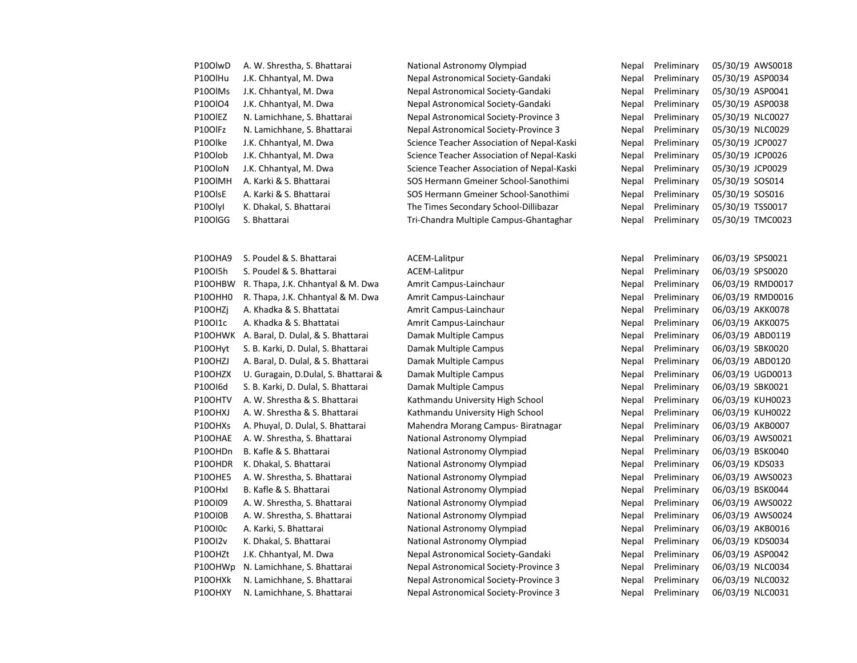| P10OlwD              | A. W. Shrestha, S. Bhattarai |
|----------------------|------------------------------|
| P10OlHu              | J.K. Chhantyal, M. Dwa       |
| P100IMs              | J.K. Chhantyal, M. Dwa       |
| P100I04              | J.K. Chhantyal, M. Dwa       |
| P10OIEZ              | N. Lamichhane, S. Bhattarai  |
| P10OIFz              | N. Lamichhane, S. Bhattarai  |
| P10Olke              | J.K. Chhantyal, M. Dwa       |
| P <sub>10</sub> Olob | J.K. Chhantyal, M. Dwa       |
| P <sub>10</sub> OloN | J.K. Chhantyal, M. Dwa       |
| P100IMH              | A. Karki & S. Bhattarai      |
| P10OlsE              | A. Karki & S. Bhattarai      |
| P <sub>10</sub> Olyl | K. Dhakal, S. Bhattarai      |
| P10OIGG              | S. Bhattarai                 |

P10OHA9 S. Poudel & S. Bhattarai ACEM-Lalitpur Nepal Preliminary 06/03/19 SPS0021 P10OI5h S. Poudel & S. Bhattarai ACEM-Lalitpur Nepal Preliminary 06/03/19 SPS0020 P10OHBW R. Thapa, J.K. Chhantyal & M. Dwa Amrit Campus-Lainchaur Nepal Preliminary 06/03/19 RMD0017 P10OHH0 R. Thapa, J.K. Chhantyal & M. Dwa Amrit Campus-Lainchaur Nepal Preliminary 06/03/19 RMD0016 P10OHZj A. Khadka & S. Bhattatai Amrit Campus-Lainchaur Nepal Preliminary 06/03/19 AKK0078 P10OI1c A. Khadka & S. Bhattatai Amrit Campus-Lainchaur Nepal Preliminary 06/03/19 AKK0075 P10OHWK A. Baral, D. Dulal, & S. Bhattarai Damak Multiple Campus Nepal Preliminary 06/03/19 ABD0119 P10OHyt S. B. Karki, D. Dulal, S. Bhattarai Damak Multiple Campus Nepal Preliminary 06/03/19 SBK0020 P10OHZJ A. Baral, D. Dulal, & S. Bhattarai Damak Multiple Campus Nepal Preliminary 06/03/19 ABD0120 P10OHZX U. Guragain, D.Dulal, S. Bhattarai & Damak Multiple Campus Nepal Nepal Preliminary 06/03/19 UGD0013 P10OI6d S. B. Karki, D. Dulal, S. Bhattarai Damak Multiple Campus Nepal Preliminary 06/03/19 SBK0021 P10OHTV A. W. Shrestha & S. Bhattarai Kathmandu University High School Nepal Preliminary 06/03/19 KUH0023 P10OHXJ A. W. Shrestha & S. Bhattarai Kathmandu University High School Nepal Preliminary 06/03/19 KUH0022 P10OHXs A. Phuyal, D. Dulal, S. Bhattarai Mahendra Morang Campus- Biratnagar Nepal Preliminary 06/03/19 AKB0007 P10OHAE A. W. Shrestha, S. Bhattarai National Astronomy Olympiad Nepal Preliminary 06/03/19 AWS0021 P10OHDn B. Kafle & S. Bhattarai National Astronomy Olympiad Nepal Preliminary 06/03/19 BSK0040 P10OHDR K. Dhakal, S. Bhattarai National Astronomy Olympiad Nepal Preliminary 06/03/19 KDS033 P10OHE5 A. W. Shrestha, S. Bhattarai National Astronomy Olympiad Nepal Preliminary 06/03/19 AWS0023 P10OHxI B. Kafle & S. Bhattarai National Astronomy Olympiad Nepal Preliminary 06/03/19 BSK0044 P10OI09 A. W. Shrestha, S. Bhattarai National Astronomy Olympiad Nepal Preliminary 06/03/19 AWS0022 P10OI0B A. W. Shrestha, S. Bhattarai National Astronomy Olympiad Nepal Preliminary 06/03/19 AWS0024 P10OI0c A. Karki, S. Bhattarai National Astronomy Olympiad Nepal Preliminary 06/03/19 AKB0016 P10OI2v K. Dhakal, S. Bhattarai National Astronomy Olympiad Nepal Preliminary 06/03/19 KDS0034 P10OHZt J.K. Chhantyal, M. Dwa Nepal Astronomical Society-Gandaki Nepal Preliminary 06/03/19 ASP0042 P10OHWp N. Lamichhane, S. Bhattarai Nepal Astronomical Society-Province 3 Nepal Preliminary 06/03/19 NLC0034 P10OHXk N. Lamichhane, S. Bhattarai Nepal Astronomical Society-Province 3 Nepal Preliminary 06/03/19 NLC0032

National Astronomy Olympiad Nepal Preliminary 05/30/19 AWS0018 P10OlHu J.K. Chhantyal, M. Dwa Nepal Astronomical Society-Gandaki Nepal Preliminary 05/30/19 ASP0034 Nepal Astronomical Society-Gandaki Nepal Preliminary 05/30/19 ASP0041 Nepal Astronomical Society-Gandaki Nepal Preliminary 05/30/19 ASP0038 P10OlEZ N. Lamichhane, S. Bhattarai Nepal Astronomical Society-Province 3 Nepal Preliminary 05/30/19 NLC0027 Nepal Astronomical Society-Province 3 Nepal Preliminary 05/30/19 NLC0029 Science Teacher Association of Nepal-Kaski Nepal Preliminary 05/30/19 JCP0027 P10Olob J.K. Chhantyal, M. Dwa Science Teacher Association of Nepal-Kaski Nepal Preliminary 05/30/19 JCP0026 P10OloN J.K. Chhantyal, M. Dwa Science Teacher Association of Nepal-Kaski Nepal Preliminary 05/30/19 JCP0029 SOS Hermann Gmeiner School-Sanothimi Nepal Preliminary 05/30/19 SOS014 P10OlsE A. Karki & S. Bhattarai SOS Hermann Gmeiner School-Sanothimi Nepal Preliminary 05/30/19 SOS016 The Times Secondary School-Dillibazar Nepal Preliminary 05/30/19 TSS0017

P10OlGG S. Bhattarai Tri-Chandra Multiple Campus-Ghantaghar Nepal Preliminary 05/30/19 TMC0023

P10OHXY N. Lamichhane, S. Bhattarai Nepal Astronomical Society-Province 3 Nepal Preliminary 06/03/19 NLC0031